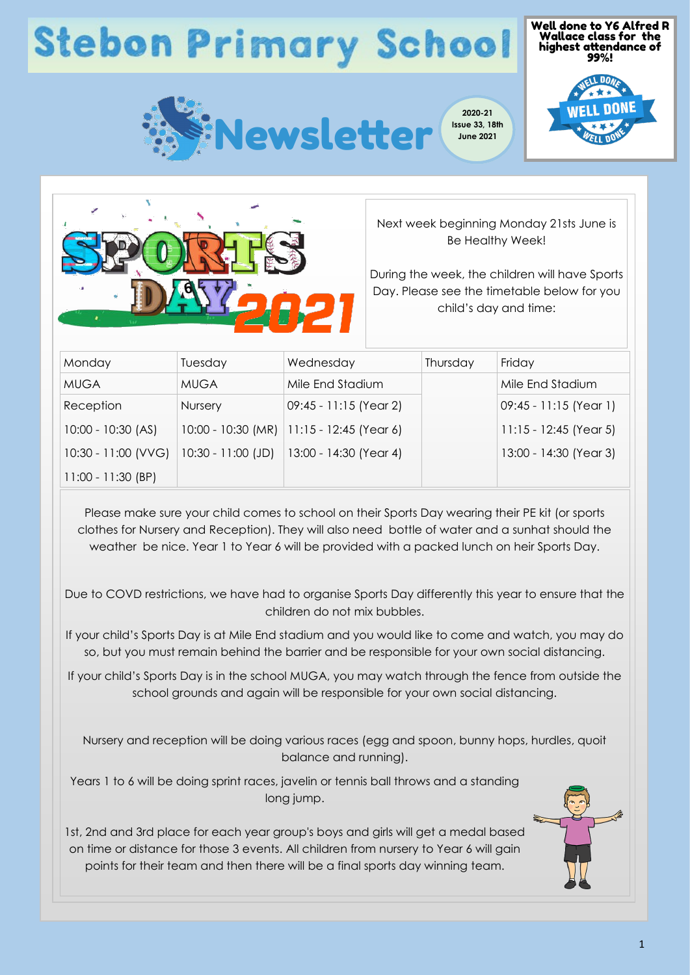## **Stebon Primary School**







Next week beginning Monday 21sts June is Be Healthy Week!

During the week, the children will have Sports Day. Please see the timetable below for you child's day and time:

| Monday               | Tuesday              | Wednesday                | Thursday | Friday                   |
|----------------------|----------------------|--------------------------|----------|--------------------------|
| <b>MUGA</b>          | <b>MUGA</b>          | Mile End Stadium         |          | Mile End Stadium         |
| Reception            | Nursery              | 09:45 - 11:15 (Year 2)   |          | 09:45 - 11:15 (Year 1)   |
| $10:00 - 10:30$ (AS) | $10:00 - 10:30$ (MR) | $11:15 - 12:45$ (Year 6) |          | $11:15 - 12:45$ (Year 5) |
| 10:30 - 11:00 (VVG)  | $10:30 - 11:00$ (JD) | 13:00 - 14:30 (Year 4)   |          | 13:00 - 14:30 (Year 3)   |
| $11:00 - 11:30$ (BP) |                      |                          |          |                          |

Please make sure your child comes to school on their Sports Day wearing their PE kit (or sports clothes for Nursery and Reception). They will also need bottle of water and a sunhat should the weather be nice. Year 1 to Year 6 will be provided with a packed lunch on heir Sports Day.

Due to COVD restrictions, we have had to organise Sports Day differently this year to ensure that the children do not mix bubbles.

If your child's Sports Day is at Mile End stadium and you would like to come and watch, you may do so, but you must remain behind the barrier and be responsible for your own social distancing.

If your child's Sports Day is in the school MUGA, you may watch through the fence from outside the school grounds and again will be responsible for your own social distancing.

Nursery and reception will be doing various races (egg and spoon, bunny hops, hurdles, quoit balance and running).

Years 1 to 6 will be doing sprint races, javelin or tennis ball throws and a standing long jump.

1st, 2nd and 3rd place for each year group's boys and girls will get a medal based on time or distance for those 3 events. All children from nursery to Year 6 will gain points for their team and then there will be a final sports day winning team.